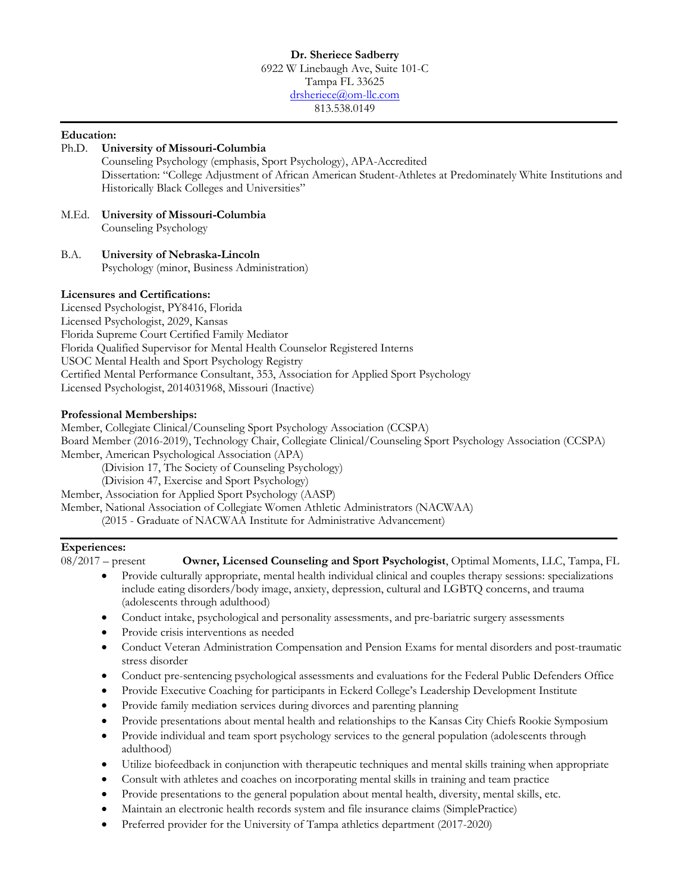#### **Education:**

| Ph.D. | University of Missouri-Columbia                                                                                |
|-------|----------------------------------------------------------------------------------------------------------------|
|       | Counseling Psychology (emphasis, Sport Psychology), APA-Accredited                                             |
|       | Dissertation: "College Adjustment of African American Student-Athletes at Predominately White Institutions and |
|       | Historically Black Colleges and Universities"                                                                  |

#### M.Ed. **University of Missouri-Columbia** Counseling Psychology

B.A. **University of Nebraska-Lincoln** Psychology (minor, Business Administration)

#### **Licensures and Certifications:**

Licensed Psychologist, PY8416, Florida Licensed Psychologist, 2029, Kansas Florida Supreme Court Certified Family Mediator Florida Qualified Supervisor for Mental Health Counselor Registered Interns USOC Mental Health and Sport Psychology Registry Certified Mental Performance Consultant, 353, Association for Applied Sport Psychology Licensed Psychologist, 2014031968, Missouri (Inactive)

#### **Professional Memberships:**

Member, Collegiate Clinical/Counseling Sport Psychology Association (CCSPA) Board Member (2016-2019), Technology Chair, Collegiate Clinical/Counseling Sport Psychology Association (CCSPA) Member, American Psychological Association (APA)

(Division 17, The Society of Counseling Psychology)

(Division 47, Exercise and Sport Psychology)

Member, Association for Applied Sport Psychology (AASP)

Member, National Association of Collegiate Women Athletic Administrators (NACWAA)

(2015 - Graduate of NACWAA Institute for Administrative Advancement)

#### **Experiences:**

08/2017 – present **Owner, Licensed Counseling and Sport Psychologist**, Optimal Moments, LLC, Tampa, FL

- Provide culturally appropriate, mental health individual clinical and couples therapy sessions: specializations include eating disorders/body image, anxiety, depression, cultural and LGBTQ concerns, and trauma (adolescents through adulthood)
- Conduct intake, psychological and personality assessments, and pre-bariatric surgery assessments
- Provide crisis interventions as needed
- Conduct Veteran Administration Compensation and Pension Exams for mental disorders and post-traumatic stress disorder
- Conduct pre-sentencing psychological assessments and evaluations for the Federal Public Defenders Office
- Provide Executive Coaching for participants in Eckerd College's Leadership Development Institute
- Provide family mediation services during divorces and parenting planning
- Provide presentations about mental health and relationships to the Kansas City Chiefs Rookie Symposium
- Provide individual and team sport psychology services to the general population (adolescents through adulthood)
- Utilize biofeedback in conjunction with therapeutic techniques and mental skills training when appropriate
- Consult with athletes and coaches on incorporating mental skills in training and team practice
- Provide presentations to the general population about mental health, diversity, mental skills, etc.
- Maintain an electronic health records system and file insurance claims (SimplePractice)
- Preferred provider for the University of Tampa athletics department (2017-2020)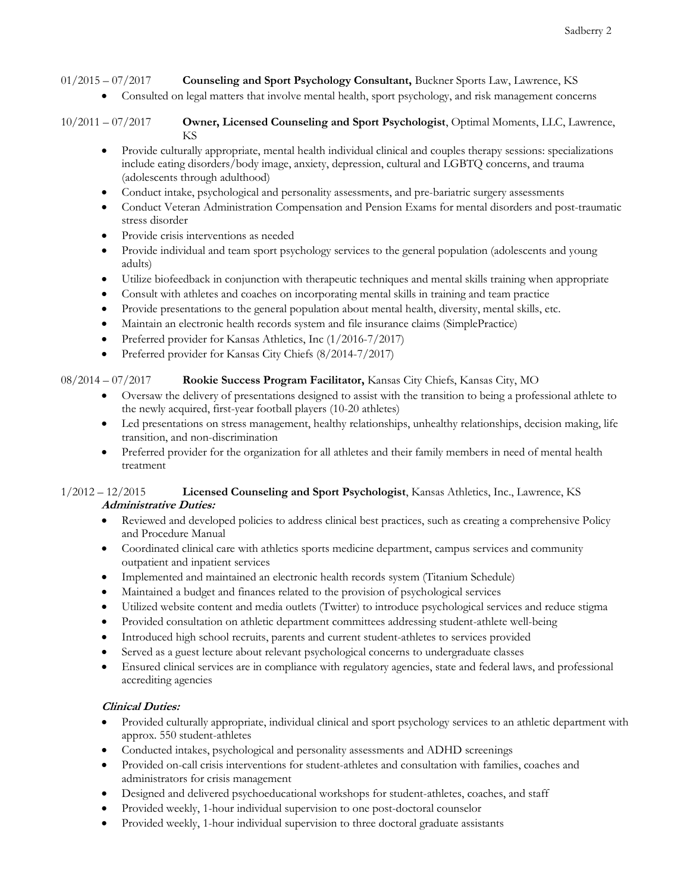01/2015 – 07/2017 **Counseling and Sport Psychology Consultant,** Buckner Sports Law, Lawrence, KS

• Consulted on legal matters that involve mental health, sport psychology, and risk management concerns

- Provide culturally appropriate, mental health individual clinical and couples therapy sessions: specializations include eating disorders/body image, anxiety, depression, cultural and LGBTQ concerns, and trauma (adolescents through adulthood)
- Conduct intake, psychological and personality assessments, and pre-bariatric surgery assessments
- Conduct Veteran Administration Compensation and Pension Exams for mental disorders and post-traumatic stress disorder
- Provide crisis interventions as needed
- Provide individual and team sport psychology services to the general population (adolescents and young adults)
- Utilize biofeedback in conjunction with therapeutic techniques and mental skills training when appropriate
- Consult with athletes and coaches on incorporating mental skills in training and team practice
- Provide presentations to the general population about mental health, diversity, mental skills, etc.
- Maintain an electronic health records system and file insurance claims (SimplePractice)
- Preferred provider for Kansas Athletics, Inc (1/2016-7/2017)
- Preferred provider for Kansas City Chiefs (8/2014-7/2017)

#### 08/2014 – 07/2017 **Rookie Success Program Facilitator,** Kansas City Chiefs, Kansas City, MO

- Oversaw the delivery of presentations designed to assist with the transition to being a professional athlete to the newly acquired, first-year football players (10-20 athletes)
- Led presentations on stress management, healthy relationships, unhealthy relationships, decision making, life transition, and non-discrimination
- Preferred provider for the organization for all athletes and their family members in need of mental health treatment

#### 1/2012 – 12/2015 **Licensed Counseling and Sport Psychologist**, Kansas Athletics, Inc., Lawrence, KS **Administrative Duties:**

- Reviewed and developed policies to address clinical best practices, such as creating a comprehensive Policy and Procedure Manual
- Coordinated clinical care with athletics sports medicine department, campus services and community outpatient and inpatient services
- Implemented and maintained an electronic health records system (Titanium Schedule)
- Maintained a budget and finances related to the provision of psychological services
- Utilized website content and media outlets (Twitter) to introduce psychological services and reduce stigma
- Provided consultation on athletic department committees addressing student-athlete well-being
- Introduced high school recruits, parents and current student-athletes to services provided
- Served as a guest lecture about relevant psychological concerns to undergraduate classes
- Ensured clinical services are in compliance with regulatory agencies, state and federal laws, and professional accrediting agencies

#### **Clinical Duties:**

- Provided culturally appropriate, individual clinical and sport psychology services to an athletic department with approx. 550 student-athletes
- Conducted intakes, psychological and personality assessments and ADHD screenings
- Provided on-call crisis interventions for student-athletes and consultation with families, coaches and administrators for crisis management
- Designed and delivered psychoeducational workshops for student-athletes, coaches, and staff
- Provided weekly, 1-hour individual supervision to one post-doctoral counselor
- Provided weekly, 1-hour individual supervision to three doctoral graduate assistants

<sup>10/2011</sup> – 07/2017 **Owner, Licensed Counseling and Sport Psychologist**, Optimal Moments, LLC, Lawrence, KS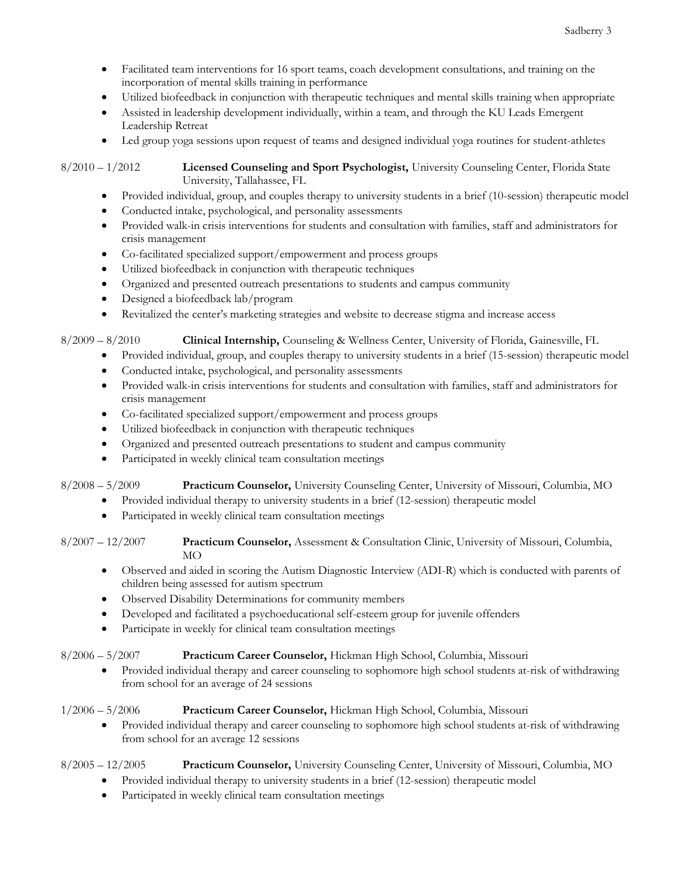- Facilitated team interventions for 16 sport teams, coach development consultations, and training on the incorporation of mental skills training in performance
- Utilized biofeedback in conjunction with therapeutic techniques and mental skills training when appropriate
- Assisted in leadership development individually, within a team, and through the KU Leads Emergent Leadership Retreat
- Led group yoga sessions upon request of teams and designed individual yoga routines for student-athletes

8/2010 – 1/2012 **Licensed Counseling and Sport Psychologist,** University Counseling Center, Florida State University, Tallahassee, FL

- Provided individual, group, and couples therapy to university students in a brief (10-session) therapeutic model
- Conducted intake, psychological, and personality assessments
- Provided walk-in crisis interventions for students and consultation with families, staff and administrators for crisis management
- Co-facilitated specialized support/empowerment and process groups
- Utilized biofeedback in conjunction with therapeutic techniques
- Organized and presented outreach presentations to students and campus community
- Designed a biofeedback lab/program
- Revitalized the center's marketing strategies and website to decrease stigma and increase access

8/2009 – 8/2010 **Clinical Internship,** Counseling & Wellness Center, University of Florida, Gainesville, FL

- Provided individual, group, and couples therapy to university students in a brief (15-session) therapeutic model
- Conducted intake, psychological, and personality assessments
- Provided walk-in crisis interventions for students and consultation with families, staff and administrators for crisis management
- Co-facilitated specialized support/empowerment and process groups
- Utilized biofeedback in conjunction with therapeutic techniques
- Organized and presented outreach presentations to student and campus community
- Participated in weekly clinical team consultation meetings

8/2008 – 5/2009 **Practicum Counselor,** University Counseling Center, University of Missouri, Columbia, MO

- Provided individual therapy to university students in a brief (12-session) therapeutic model
- Participated in weekly clinical team consultation meetings
- 8/2007 12/2007 **Practicum Counselor,** Assessment & Consultation Clinic, University of Missouri, Columbia,  $MO$ 
	- Observed and aided in scoring the Autism Diagnostic Interview (ADI-R) which is conducted with parents of children being assessed for autism spectrum
	- Observed Disability Determinations for community members
	- Developed and facilitated a psychoeducational self-esteem group for juvenile offenders
	- Participate in weekly for clinical team consultation meetings

### 8/2006 – 5/2007 **Practicum Career Counselor,** Hickman High School, Columbia, Missouri

• Provided individual therapy and career counseling to sophomore high school students at-risk of withdrawing from school for an average of 24 sessions

### 1/2006 – 5/2006 **Practicum Career Counselor,** Hickman High School, Columbia, Missouri

• Provided individual therapy and career counseling to sophomore high school students at-risk of withdrawing from school for an average 12 sessions

# 8/2005 – 12/2005 **Practicum Counselor,** University Counseling Center, University of Missouri, Columbia, MO

- Provided individual therapy to university students in a brief (12-session) therapeutic model
- Participated in weekly clinical team consultation meetings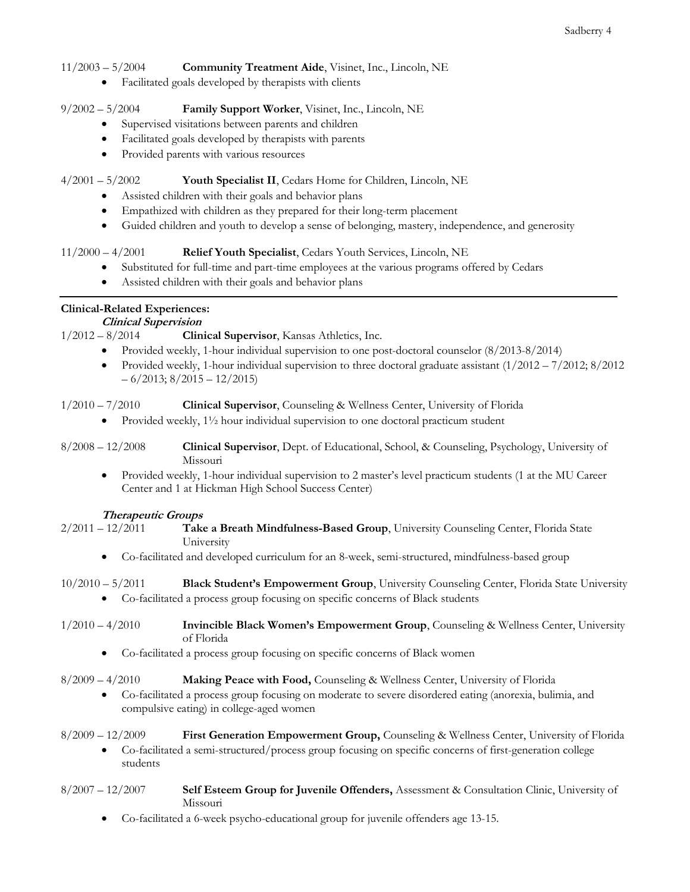#### 11/2003 – 5/2004 **Community Treatment Aide**, Visinet, Inc., Lincoln, NE

• Facilitated goals developed by therapists with clients

# 9/2002 – 5/2004 **Family Support Worker**, Visinet, Inc., Lincoln, NE

- Supervised visitations between parents and children
- Facilitated goals developed by therapists with parents
- Provided parents with various resources

### 4/2001 – 5/2002 **Youth Specialist II**, Cedars Home for Children, Lincoln, NE

- Assisted children with their goals and behavior plans
- Empathized with children as they prepared for their long-term placement
- Guided children and youth to develop a sense of belonging, mastery, independence, and generosity

# 11/2000 – 4/2001 **Relief Youth Specialist**, Cedars Youth Services, Lincoln, NE

- Substituted for full-time and part-time employees at the various programs offered by Cedars
- Assisted children with their goals and behavior plans

# **Clinical-Related Experiences:**

# **Clinical Supervision**<br>1/2012 – 8/2014 **Clin**

**Clinical Supervisor**, Kansas Athletics, Inc.

- Provided weekly, 1-hour individual supervision to one post-doctoral counselor (8/2013-8/2014)
- Provided weekly, 1-hour individual supervision to three doctoral graduate assistant (1/2012 7/2012; 8/2012  $-6/2013$ ;  $8/2015 - 12/2015$ )

1/2010 – 7/2010 **Clinical Supervisor**, Counseling & Wellness Center, University of Florida

- Provided weekly,  $1\frac{1}{2}$  hour individual supervision to one doctoral practicum student
- 8/2008 12/2008 **Clinical Supervisor**, Dept. of Educational, School, & Counseling, Psychology, University of Missouri
	- Provided weekly, 1-hour individual supervision to 2 master's level practicum students (1 at the MU Career Center and 1 at Hickman High School Success Center)

### **Therapeutic Groups**

- 2/2011 12/2011 **Take a Breath Mindfulness-Based Group**, University Counseling Center, Florida State University
	- Co-facilitated and developed curriculum for an 8-week, semi-structured, mindfulness-based group
- 10/2010 5/2011 **Black Student's Empowerment Group**, University Counseling Center, Florida State University
	- Co-facilitated a process group focusing on specific concerns of Black students
- 1/2010 4/2010 **Invincible Black Women's Empowerment Group**, Counseling & Wellness Center, University of Florida
	- Co-facilitated a process group focusing on specific concerns of Black women

# 8/2009 – 4/2010 **Making Peace with Food,** Counseling & Wellness Center, University of Florida

• Co-facilitated a process group focusing on moderate to severe disordered eating (anorexia, bulimia, and compulsive eating) in college-aged women

### 8/2009 – 12/2009 **First Generation Empowerment Group,** Counseling & Wellness Center, University of Florida

• Co-facilitated a semi-structured/process group focusing on specific concerns of first-generation college students

#### 8/2007 – 12/2007 **Self Esteem Group for Juvenile Offenders,** Assessment & Consultation Clinic, University of Missouri

• Co-facilitated a 6-week psycho-educational group for juvenile offenders age 13-15.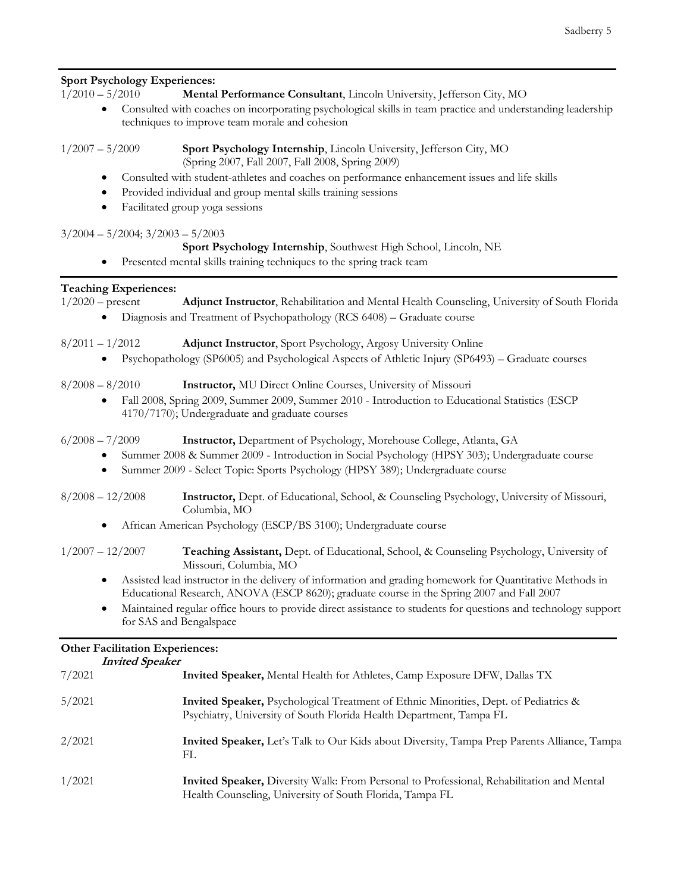### **Sport Psychology Experiences:**

1/2010 – 5/2010 **Mental Performance Consultant**, Lincoln University, Jefferson City, MO

- Consulted with coaches on incorporating psychological skills in team practice and understanding leadership techniques to improve team morale and cohesion
- 

1/2007 – 5/2009 **Sport Psychology Internship**, Lincoln University, Jefferson City, MO (Spring 2007, Fall 2007, Fall 2008, Spring 2009)

- Consulted with student-athletes and coaches on performance enhancement issues and life skills
- Provided individual and group mental skills training sessions
- Facilitated group yoga sessions

#### $3/2004 - 5/2004$ ;  $3/2003 - 5/2003$

#### **Sport Psychology Internship**, Southwest High School, Lincoln, NE

• Presented mental skills training techniques to the spring track team

#### **Teaching Experiences:**

| Teaching Experiences: |                                                                                                                                                    |
|-----------------------|----------------------------------------------------------------------------------------------------------------------------------------------------|
| $1/2020$ – present    | <b>Adjunct Instructor, Rehabilitation and Mental Health Counseling, University of South Florida</b>                                                |
| $\bullet$             | Diagnosis and Treatment of Psychopathology (RCS 6408) – Graduate course                                                                            |
| $8/2011 - 1/2012$     | <b>Adjunct Instructor, Sport Psychology, Argosy University Online</b>                                                                              |
| $\bullet$             | Psychopathology (SP6005) and Psychological Aspects of Athletic Injury (SP6493) – Graduate courses                                                  |
| $8/2008 - 8/2010$     | <b>Instructor, MU Direct Online Courses, University of Missouri</b>                                                                                |
| $\bullet$             | Fall 2008, Spring 2009, Summer 2009, Summer 2010 - Introduction to Educational Statistics (ESCP)<br>4170/7170); Undergraduate and graduate courses |
| $6/2008 - 7/2009$     | <b>Instructor,</b> Department of Psychology, Morehouse College, Atlanta, GA                                                                        |
| $\bullet$             | Summer 2008 & Summer 2009 - Introduction in Social Psychology (HPSY 303); Undergraduate course                                                     |
| $\bullet$             | Summer 2009 - Select Topic: Sports Psychology (HPSY 389); Undergraduate course                                                                     |
| $8/2008 - 12/2008$    | Instructor, Dept. of Educational, School, & Counseling Psychology, University of Missouri,<br>Columbia, MO                                         |
|                       |                                                                                                                                                    |

• African American Psychology (ESCP/BS 3100); Undergraduate course

| $1/2007 - 12/2007$ | Teaching Assistant, Dept. of Educational, School, & Counseling Psychology, University of |
|--------------------|------------------------------------------------------------------------------------------|
|                    | Missouri, Columbia, MO                                                                   |

- Assisted lead instructor in the delivery of information and grading homework for Quantitative Methods in Educational Research, ANOVA (ESCP 8620); graduate course in the Spring 2007 and Fall 2007
- Maintained regular office hours to provide direct assistance to students for questions and technology support for SAS and Bengalspace

### **Other Facilitation Experiences:**

| <b>Invited Speaker</b> |                                                                                                                                                                    |
|------------------------|--------------------------------------------------------------------------------------------------------------------------------------------------------------------|
| 7/2021                 | <b>Invited Speaker, Mental Health for Athletes, Camp Exposure DFW, Dallas TX</b>                                                                                   |
| 5/2021                 | <b>Invited Speaker,</b> Psychological Treatment of Ethnic Minorities, Dept. of Pediatrics &<br>Psychiatry, University of South Florida Health Department, Tampa FL |
| 2/2021                 | Invited Speaker, Let's Talk to Our Kids about Diversity, Tampa Prep Parents Alliance, Tampa<br>FL                                                                  |
| 1/2021                 | <b>Invited Speaker,</b> Diversity Walk: From Personal to Professional, Rehabilitation and Mental<br>Health Counseling, University of South Florida, Tampa FL       |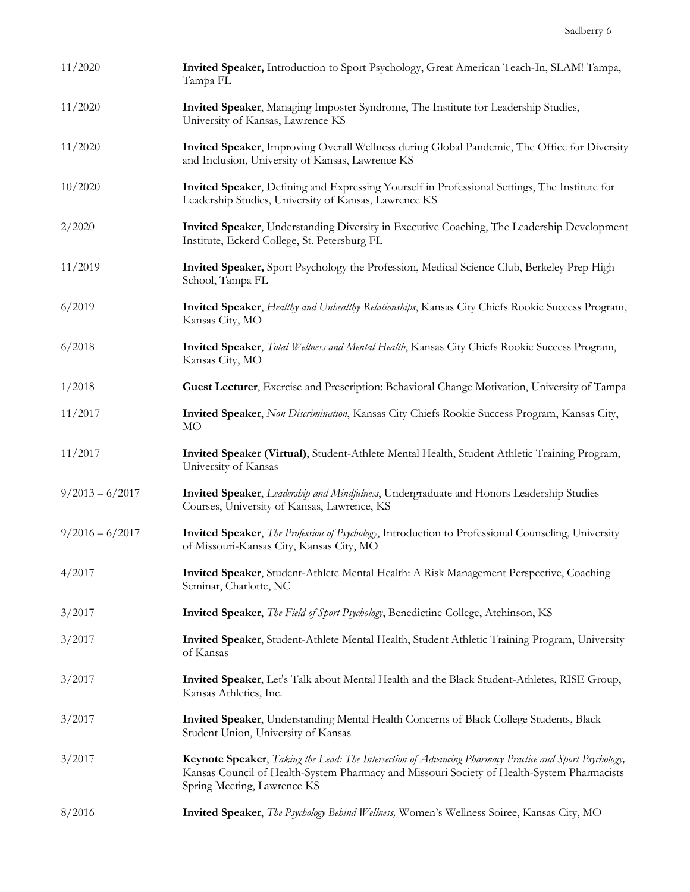| 11/2020           | Invited Speaker, Introduction to Sport Psychology, Great American Teach-In, SLAM! Tampa,<br>Tampa FL                                                                                                                                 |
|-------------------|--------------------------------------------------------------------------------------------------------------------------------------------------------------------------------------------------------------------------------------|
| 11/2020           | Invited Speaker, Managing Imposter Syndrome, The Institute for Leadership Studies,<br>University of Kansas, Lawrence KS                                                                                                              |
| 11/2020           | Invited Speaker, Improving Overall Wellness during Global Pandemic, The Office for Diversity<br>and Inclusion, University of Kansas, Lawrence KS                                                                                     |
| 10/2020           | Invited Speaker, Defining and Expressing Yourself in Professional Settings, The Institute for<br>Leadership Studies, University of Kansas, Lawrence KS                                                                               |
| 2/2020            | Invited Speaker, Understanding Diversity in Executive Coaching, The Leadership Development<br>Institute, Eckerd College, St. Petersburg FL                                                                                           |
| 11/2019           | Invited Speaker, Sport Psychology the Profession, Medical Science Club, Berkeley Prep High<br>School, Tampa FL                                                                                                                       |
| 6/2019            | Invited Speaker, Healthy and Unhealthy Relationships, Kansas City Chiefs Rookie Success Program,<br>Kansas City, MO                                                                                                                  |
| 6/2018            | Invited Speaker, Total Wellness and Mental Health, Kansas City Chiefs Rookie Success Program,<br>Kansas City, MO                                                                                                                     |
| 1/2018            | Guest Lecturer, Exercise and Prescription: Behavioral Change Motivation, University of Tampa                                                                                                                                         |
| 11/2017           | Invited Speaker, Non Discrimination, Kansas City Chiefs Rookie Success Program, Kansas City,<br><b>MO</b>                                                                                                                            |
| 11/2017           | Invited Speaker (Virtual), Student-Athlete Mental Health, Student Athletic Training Program,<br>University of Kansas                                                                                                                 |
| $9/2013 - 6/2017$ | Invited Speaker, Leadership and Mindfulness, Undergraduate and Honors Leadership Studies<br>Courses, University of Kansas, Lawrence, KS                                                                                              |
| $9/2016 - 6/2017$ | Invited Speaker, The Profession of Psychology, Introduction to Professional Counseling, University<br>of Missouri-Kansas City, Kansas City, MO                                                                                       |
| 4/2017            | Invited Speaker, Student-Athlete Mental Health: A Risk Management Perspective, Coaching<br>Seminar, Charlotte, NC                                                                                                                    |
| 3/2017            | Invited Speaker, The Field of Sport Psychology, Benedictine College, Atchinson, KS                                                                                                                                                   |
| 3/2017            | Invited Speaker, Student-Athlete Mental Health, Student Athletic Training Program, University<br>of Kansas                                                                                                                           |
| 3/2017            | Invited Speaker, Let's Talk about Mental Health and the Black Student-Athletes, RISE Group,<br>Kansas Athletics, Inc.                                                                                                                |
| 3/2017            | Invited Speaker, Understanding Mental Health Concerns of Black College Students, Black<br>Student Union, University of Kansas                                                                                                        |
| 3/2017            | Keynote Speaker, Taking the Lead: The Intersection of Advancing Pharmacy Practice and Sport Psychology,<br>Kansas Council of Health-System Pharmacy and Missouri Society of Health-System Pharmacists<br>Spring Meeting, Lawrence KS |
| 8/2016            | Invited Speaker, The Psychology Behind Wellness, Women's Wellness Soirce, Kansas City, MO                                                                                                                                            |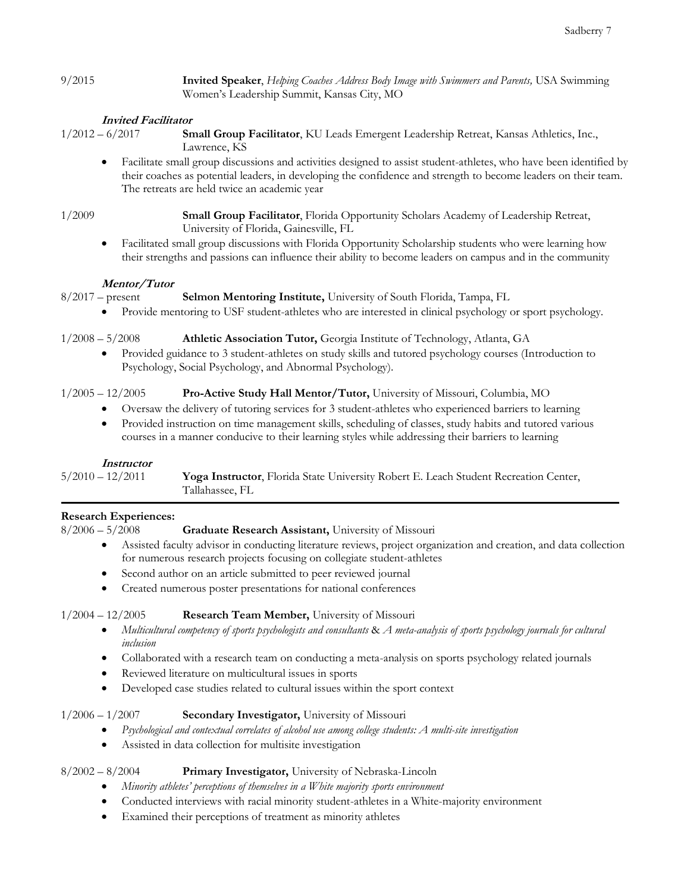9/2015 **Invited Speaker**, *Helping Coaches Address Body Image with Swimmers and Parents,* USA Swimming Women's Leadership Summit, Kansas City, MO

### **Invited Facilitator**

1/2012 – 6/2017 **Small Group Facilitator**, KU Leads Emergent Leadership Retreat, Kansas Athletics, Inc., Lawrence, KS

• Facilitate small group discussions and activities designed to assist student-athletes, who have been identified by their coaches as potential leaders, in developing the confidence and strength to become leaders on their team. The retreats are held twice an academic year

1/2009 **Small Group Facilitator**, Florida Opportunity Scholars Academy of Leadership Retreat, University of Florida, Gainesville, FL

• Facilitated small group discussions with Florida Opportunity Scholarship students who were learning how their strengths and passions can influence their ability to become leaders on campus and in the community

#### **Mentor/Tutor**

8/2017 – present **Selmon Mentoring Institute,** University of South Florida, Tampa, FL

• Provide mentoring to USF student-athletes who are interested in clinical psychology or sport psychology.

1/2008 – 5/2008 **Athletic Association Tutor,** Georgia Institute of Technology, Atlanta, GA

• Provided guidance to 3 student-athletes on study skills and tutored psychology courses (Introduction to Psychology, Social Psychology, and Abnormal Psychology).

### 1/2005 – 12/2005 **Pro-Active Study Hall Mentor/Tutor,** University of Missouri, Columbia, MO

- Oversaw the delivery of tutoring services for 3 student-athletes who experienced barriers to learning
- Provided instruction on time management skills, scheduling of classes, study habits and tutored various courses in a manner conducive to their learning styles while addressing their barriers to learning

### **Instructor**

5/2010 – 12/2011 **Yoga Instructor**, Florida State University Robert E. Leach Student Recreation Center, Tallahassee, FL

### **Research Experiences:**

### 8/2006 – 5/2008 **Graduate Research Assistant,** University of Missouri

- Assisted faculty advisor in conducting literature reviews, project organization and creation, and data collection for numerous research projects focusing on collegiate student-athletes
- Second author on an article submitted to peer reviewed journal
- Created numerous poster presentations for national conferences

1/2004 – 12/2005 **Research Team Member,** University of Missouri

- *Multicultural competency of sports psychologists and consultants* & *A meta-analysis of sports psychology journals for cultural inclusion*
- Collaborated with a research team on conducting a meta-analysis on sports psychology related journals
- Reviewed literature on multicultural issues in sports
- Developed case studies related to cultural issues within the sport context

### 1/2006 – 1/2007 **Secondary Investigator,** University of Missouri

- *Psychological and contextual correlates of alcohol use among college students: A multi-site investigation*
- Assisted in data collection for multisite investigation

### 8/2002 – 8/2004 **Primary Investigator,** University of Nebraska-Lincoln

- *Minority athletes' perceptions of themselves in a White majority sports environment*
- Conducted interviews with racial minority student-athletes in a White-majority environment
- Examined their perceptions of treatment as minority athletes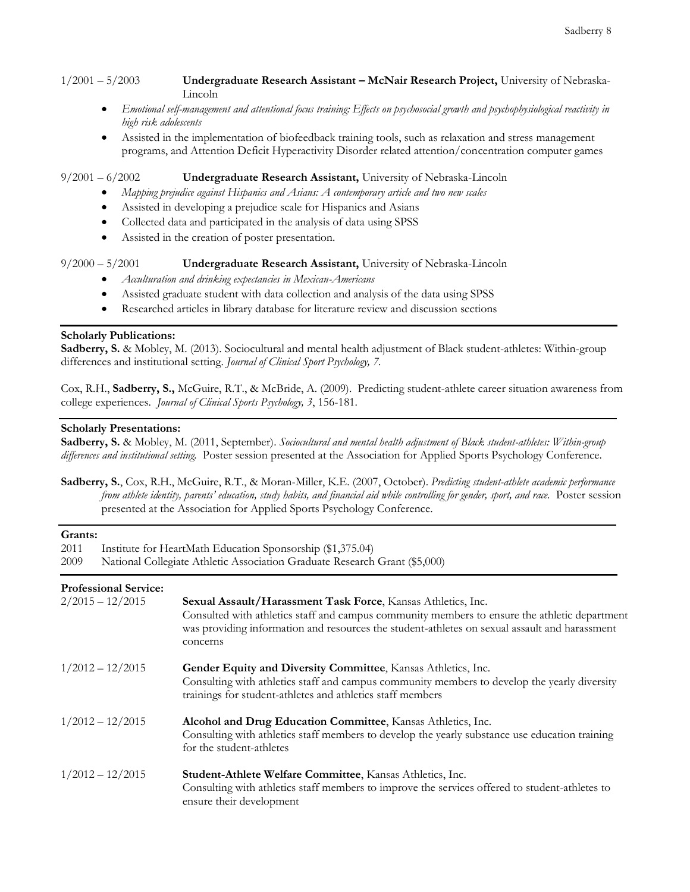1/2001 – 5/2003 **Undergraduate Research Assistant – McNair Research Project,** University of Nebraska-Lincoln

- *Emotional self-management and attentional focus training: Effects on psychosocial growth and psychophysiological reactivity in high risk adolescents*
- Assisted in the implementation of biofeedback training tools, such as relaxation and stress management programs, and Attention Deficit Hyperactivity Disorder related attention/concentration computer games

#### 9/2001 – 6/2002 **Undergraduate Research Assistant,** University of Nebraska-Lincoln

- *Mapping prejudice against Hispanics and Asians: A contemporary article and two new scales*
- Assisted in developing a prejudice scale for Hispanics and Asians
- Collected data and participated in the analysis of data using SPSS
- Assisted in the creation of poster presentation.

#### 9/2000 – 5/2001 **Undergraduate Research Assistant,** University of Nebraska-Lincoln

- *Acculturation and drinking expectancies in Mexican-Americans*
- Assisted graduate student with data collection and analysis of the data using SPSS
- Researched articles in library database for literature review and discussion sections

#### **Scholarly Publications:**

**Sadberry, S.** & Mobley, M. (2013). Sociocultural and mental health adjustment of Black student-athletes: Within-group differences and institutional setting. *Journal of Clinical Sport Psychology, 7.*

Cox, R.H., **Sadberry, S.,** McGuire, R.T., & McBride, A. (2009). Predicting student-athlete career situation awareness from college experiences. *Journal of Clinical Sports Psychology, 3*, 156-181.

#### **Scholarly Presentations:**

**Sadberry, S.** & Mobley, M. (2011, September). *Sociocultural and mental health adjustment of Black student-athletes: Within-group differences and institutional setting.* Poster session presented at the Association for Applied Sports Psychology Conference.

**Sadberry, S.**, Cox, R.H., McGuire, R.T., & Moran-Miller, K.E. (2007, October). *Predicting student-athlete academic performance from athlete identity, parents' education, study habits, and financial aid while controlling for gender, sport, and race.* Poster session presented at the Association for Applied Sports Psychology Conference.

#### **Grants:**

| 2011<br>Institute for HeartMath Education Sponsorship (\$1,375.04)<br>National Collegiate Athletic Association Graduate Research Grant (\$5,000)<br>2009 |                                                                                                                                                                                                                                                                            |
|----------------------------------------------------------------------------------------------------------------------------------------------------------|----------------------------------------------------------------------------------------------------------------------------------------------------------------------------------------------------------------------------------------------------------------------------|
| <b>Professional Service:</b><br>$2/2015 - 12/2015$                                                                                                       | Sexual Assault/Harassment Task Force, Kansas Athletics, Inc.<br>Consulted with athletics staff and campus community members to ensure the athletic department<br>was providing information and resources the student-athletes on sexual assault and harassment<br>concerns |
| $1/2012 - 12/2015$                                                                                                                                       | Gender Equity and Diversity Committee, Kansas Athletics, Inc.<br>Consulting with athletics staff and campus community members to develop the yearly diversity<br>trainings for student-athletes and athletics staff members                                                |
| $1/2012 - 12/2015$                                                                                                                                       | Alcohol and Drug Education Committee, Kansas Athletics, Inc.<br>Consulting with athletics staff members to develop the yearly substance use education training<br>for the student-athletes                                                                                 |
| $1/2012 - 12/2015$                                                                                                                                       | <b>Student-Athlete Welfare Committee, Kansas Athletics, Inc.</b><br>Consulting with athletics staff members to improve the services offered to student-athletes to<br>ensure their development                                                                             |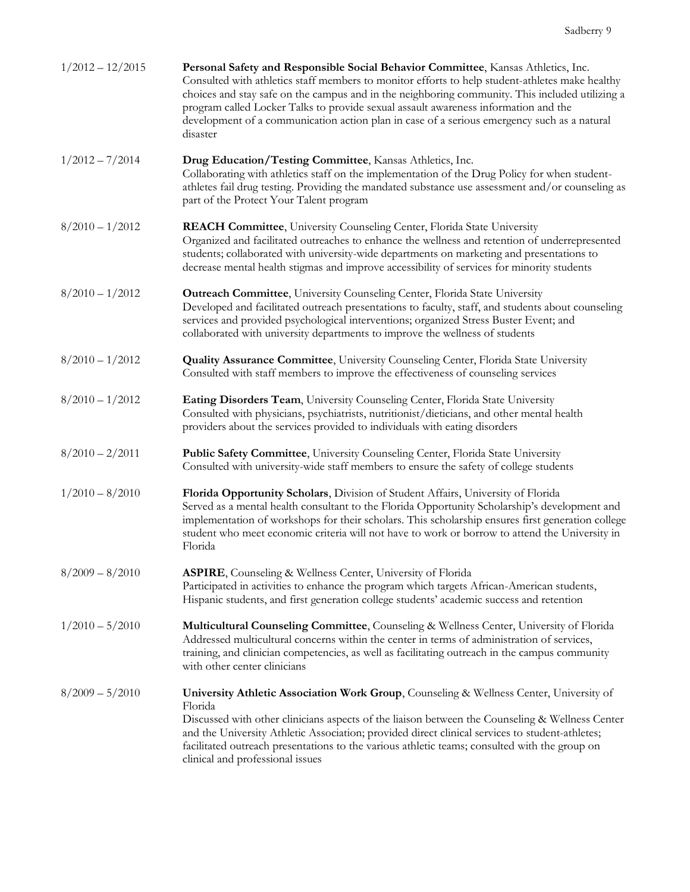| $1/2012 - 12/2015$ | Personal Safety and Responsible Social Behavior Committee, Kansas Athletics, Inc.<br>Consulted with athletics staff members to monitor efforts to help student-athletes make healthy<br>choices and stay safe on the campus and in the neighboring community. This included utilizing a<br>program called Locker Talks to provide sexual assault awareness information and the<br>development of a communication action plan in case of a serious emergency such as a natural<br>disaster |
|--------------------|-------------------------------------------------------------------------------------------------------------------------------------------------------------------------------------------------------------------------------------------------------------------------------------------------------------------------------------------------------------------------------------------------------------------------------------------------------------------------------------------|
| $1/2012 - 7/2014$  | Drug Education/Testing Committee, Kansas Athletics, Inc.<br>Collaborating with athletics staff on the implementation of the Drug Policy for when student-<br>athletes fail drug testing. Providing the mandated substance use assessment and/or counseling as<br>part of the Protect Your Talent program                                                                                                                                                                                  |
| $8/2010 - 1/2012$  | <b>REACH Committee</b> , University Counseling Center, Florida State University<br>Organized and facilitated outreaches to enhance the wellness and retention of underrepresented<br>students; collaborated with university-wide departments on marketing and presentations to<br>decrease mental health stigmas and improve accessibility of services for minority students                                                                                                              |
| $8/2010 - 1/2012$  | <b>Outreach Committee</b> , University Counseling Center, Florida State University<br>Developed and facilitated outreach presentations to faculty, staff, and students about counseling<br>services and provided psychological interventions; organized Stress Buster Event; and<br>collaborated with university departments to improve the wellness of students                                                                                                                          |
| $8/2010 - 1/2012$  | <b>Quality Assurance Committee, University Counseling Center, Florida State University</b><br>Consulted with staff members to improve the effectiveness of counseling services                                                                                                                                                                                                                                                                                                            |
| $8/2010 - 1/2012$  | Eating Disorders Team, University Counseling Center, Florida State University<br>Consulted with physicians, psychiatrists, nutritionist/dieticians, and other mental health<br>providers about the services provided to individuals with eating disorders                                                                                                                                                                                                                                 |
| $8/2010 - 2/2011$  | Public Safety Committee, University Counseling Center, Florida State University<br>Consulted with university-wide staff members to ensure the safety of college students                                                                                                                                                                                                                                                                                                                  |
| $1/2010 - 8/2010$  | Florida Opportunity Scholars, Division of Student Affairs, University of Florida<br>Served as a mental health consultant to the Florida Opportunity Scholarship's development and<br>implementation of workshops for their scholars. This scholarship ensures first generation college<br>student who meet economic criteria will not have to work or borrow to attend the University in<br>Florida                                                                                       |
| $8/2009 - 8/2010$  | <b>ASPIRE</b> , Counseling & Wellness Center, University of Florida<br>Participated in activities to enhance the program which targets African-American students,<br>Hispanic students, and first generation college students' academic success and retention                                                                                                                                                                                                                             |
| $1/2010 - 5/2010$  | Multicultural Counseling Committee, Counseling & Wellness Center, University of Florida<br>Addressed multicultural concerns within the center in terms of administration of services,<br>training, and clinician competencies, as well as facilitating outreach in the campus community<br>with other center clinicians                                                                                                                                                                   |
| $8/2009 - 5/2010$  | University Athletic Association Work Group, Counseling & Wellness Center, University of<br>Florida<br>Discussed with other clinicians aspects of the liaison between the Counseling & Wellness Center<br>and the University Athletic Association; provided direct clinical services to student-athletes;<br>facilitated outreach presentations to the various athletic teams; consulted with the group on<br>clinical and professional issues                                             |